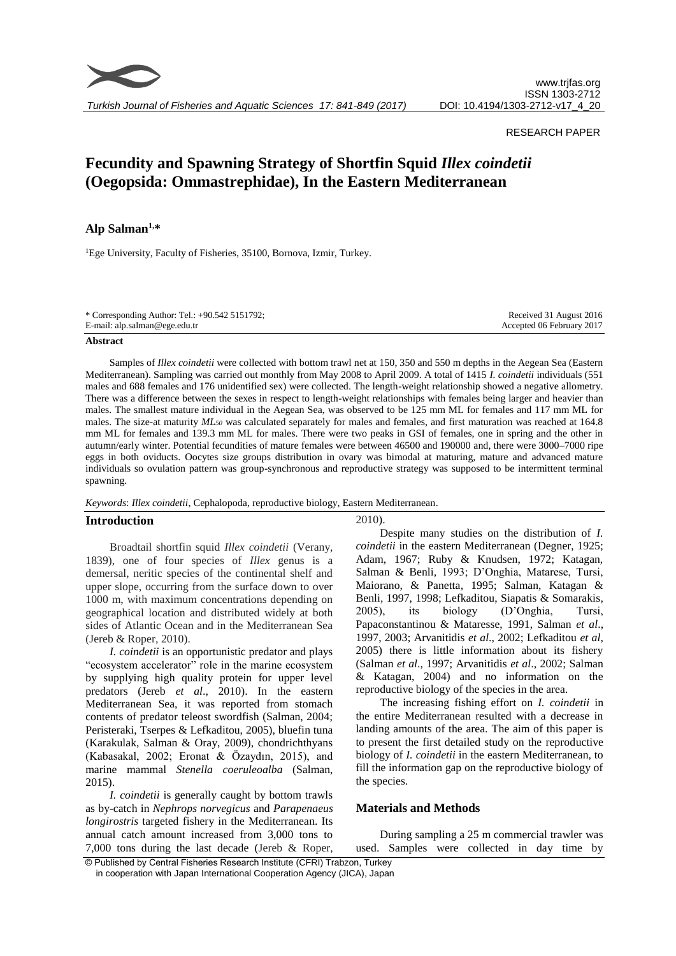

*Turkish Journal of Fisheries and Aquatic Sciences 17: 841-849 (2017)*

# RESEARCH PAPER

# **Fecundity and Spawning Strategy of Shortfin Squid** *Illex coindetii* **(Oegopsida: Ommastrephidae), In the Eastern Mediterranean**

# **Alp Salman1,\***

<sup>1</sup>Ege University, Faculty of Fisheries, 35100, Bornova, Izmir, Turkey.

| * Corresponding Author: Tel.: $+90.542$ 5151792; | Received 31 August 2016   |
|--------------------------------------------------|---------------------------|
| E-mail: alp.salman@ege.edu.tr                    | Accepted 06 February 2017 |

#### **Abstract**

Samples of *Illex coindetii* were collected with bottom trawl net at 150, 350 and 550 m depths in the Aegean Sea (Eastern Mediterranean). Sampling was carried out monthly from May 2008 to April 2009. A total of 1415 *I. coindetii* individuals (551 males and 688 females and 176 unidentified sex) were collected. The length-weight relationship showed a negative allometry. There was a difference between the sexes in respect to length-weight relationships with females being larger and heavier than males. The smallest mature individual in the Aegean Sea, was observed to be 125 mm ML for females and 117 mm ML for males. The size-at maturity  $ML<sub>50</sub>$  was calculated separately for males and females, and first maturation was reached at 164.8 mm ML for females and 139.3 mm ML for males. There were two peaks in GSI of females, one in spring and the other in autumn/early winter. Potential fecundities of mature females were between 46500 and 190000 and, there were 3000–7000 ripe eggs in both oviducts. Oocytes size groups distribution in ovary was bimodal at maturing, mature and advanced mature individuals so ovulation pattern was group-synchronous and reproductive strategy was supposed to be intermittent terminal spawning.

#### *Keywords*: *Illex coindetii*, Cephalopoda, reproductive biology, Eastern Mediterranean.

# **Introduction**

Broadtail shortfin squid *Illex coindetii* (Verany, 1839), one of four species of *Illex* genus is a demersal, neritic species of the continental shelf and upper slope, occurring from the surface down to over 1000 m, with maximum concentrations depending on geographical location and distributed widely at both sides of Atlantic Ocean and in the Mediterranean Sea (Jereb & Roper, 2010).

*I. coindetii* is an opportunistic predator and plays "ecosystem accelerator" role in the marine ecosystem by supplying high quality protein for upper level predators (Jereb *et al*., 2010). In the eastern Mediterranean Sea, it was reported from stomach contents of predator teleost swordfish (Salman, 2004; Peristeraki, Tserpes & Lefkaditou, 2005), bluefin tuna (Karakulak, Salman & Oray, 2009), chondrichthyans (Kabasakal, 2002; Eronat & Özaydın, 2015), and marine mammal *Stenella coeruleoalba* (Salman, 2015).

*I. coindetii* is generally caught by bottom trawls as by-catch in *Nephrops norvegicus* and *Parapenaeus longirostris* targeted fishery in the Mediterranean. Its annual catch amount increased from 3,000 tons to 7,000 tons during the last decade (Jereb & Roper,

2010).

Despite many studies on the distribution of *I. coindetii* in the eastern Mediterranean (Degner, 1925; Adam, 1967; Ruby & Knudsen, 1972; Katagan, Salman & Benli*,* 1993; D'Onghia, Matarese, Tursi, Maiorano, & Panetta*,* 1995; Salman, Katagan & Benli*,* 1997, 1998; Lefkaditou, Siapatis & Somarakis*,* 2005), its biology (D'Onghia, Tursi, Papaconstantinou & Mataresse, 1991, Salman *et al*., 1997, 2003; Arvanitidis *et al*., 2002; Lefkaditou *et al*, 2005) there is little information about its fishery (Salman *et al*., 1997; Arvanitidis *et al*., 2002; Salman & Katagan, 2004) and no information on the reproductive biology of the species in the area.

The increasing fishing effort on *I. coindetii* in the entire Mediterranean resulted with a decrease in landing amounts of the area. The aim of this paper is to present the first detailed study on the reproductive biology of *I. coindetii* in the eastern Mediterranean, to fill the information gap on the reproductive biology of the species.

# **Materials and Methods**

During sampling a 25 m commercial trawler was used. Samples were collected in day time by

© Published by Central Fisheries Research Institute (CFRI) Trabzon, Turkey in cooperation with Japan International Cooperation Agency (JICA), Japan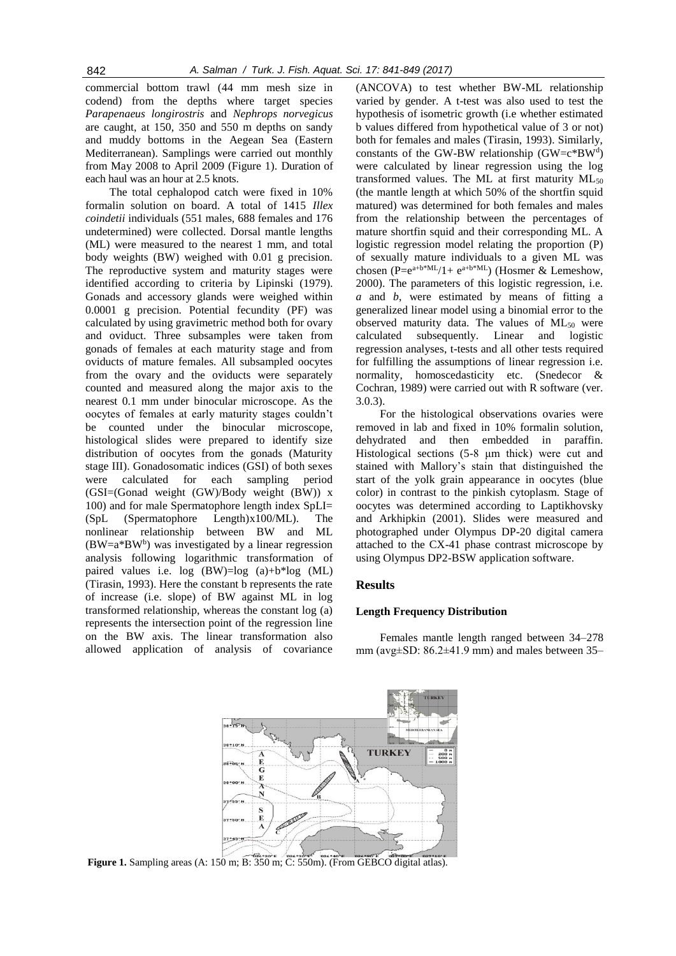commercial bottom trawl (44 mm mesh size in codend) from the depths where target species *Parapenaeus longirostris* and *Nephrops norvegicus* are caught, at 150, 350 and 550 m depths on sandy and muddy bottoms in the Aegean Sea (Eastern Mediterranean). Samplings were carried out monthly from May 2008 to April 2009 (Figure 1). Duration of each haul was an hour at 2.5 knots.

The total cephalopod catch were fixed in 10% formalin solution on board. A total of 1415 *Illex coindetii* individuals (551 males, 688 females and 176 undetermined) were collected. Dorsal mantle lengths (ML) were measured to the nearest 1 mm, and total body weights (BW) weighed with 0.01 g precision. The reproductive system and maturity stages were identified according to criteria by Lipinski (1979). Gonads and accessory glands were weighed within 0.0001 g precision. Potential fecundity (PF) was calculated by using gravimetric method both for ovary and oviduct. Three subsamples were taken from gonads of females at each maturity stage and from oviducts of mature females. All subsampled oocytes from the ovary and the oviducts were separately counted and measured along the major axis to the nearest 0.1 mm under binocular microscope. As the oocytes of females at early maturity stages couldn't be counted under the binocular microscope, histological slides were prepared to identify size distribution of oocytes from the gonads (Maturity stage III). Gonadosomatic indices (GSI) of both sexes were calculated for each sampling period (GSI=(Gonad weight (GW)/Body weight (BW)) x 100) and for male Spermatophore length index SpLI= (SpL (Spermatophore Length)x100/ML). The nonlinear relationship between BW and ML  $(BW=a*BW<sup>b</sup>)$  was investigated by a linear regression analysis following logarithmic transformation of paired values i.e. log (BW)=log (a)+b\*log (ML) (Tirasin, 1993). Here the constant b represents the rate of increase (i.e. slope) of BW against ML in log transformed relationship, whereas the constant log (a) represents the intersection point of the regression line on the BW axis. The linear transformation also allowed application of analysis of covariance

(ANCOVA) to test whether BW-ML relationship varied by gender. A t-test was also used to test the hypothesis of isometric growth (i.e whether estimated b values differed from hypothetical value of 3 or not) both for females and males (Tirasin, 1993). Similarly, constants of the GW-BW relationship  $(GW = c^*BW^d)$ were calculated by linear regression using the log transformed values. The ML at first maturity ML<sub>50</sub> (the mantle length at which 50% of the shortfin squid matured) was determined for both females and males from the relationship between the percentages of mature shortfin squid and their corresponding ML. A logistic regression model relating the proportion (P) of sexually mature individuals to a given ML was chosen  $(P=e^{a+b*ML}/1+e^{a+b*ML})$  (Hosmer & Lemeshow, 2000). The parameters of this logistic regression, i.e. *a* and *b*, were estimated by means of fitting a generalized linear model using a binomial error to the observed maturity data. The values of ML<sub>50</sub> were calculated subsequently. Linear and logistic regression analyses, t-tests and all other tests required for fulfilling the assumptions of linear regression i.e. normality, homoscedasticity etc. (Snedecor & Cochran, 1989) were carried out with R software (ver. 3.0.3).

For the histological observations ovaries were removed in lab and fixed in 10% formalin solution, dehydrated and then embedded in paraffin. Histological sections (5-8 μm thick) were cut and stained with Mallory's stain that distinguished the start of the yolk grain appearance in oocytes (blue color) in contrast to the pinkish cytoplasm. Stage of oocytes was determined according to Laptikhovsky and Arkhipkin (2001). Slides were measured and photographed under Olympus DP-20 digital camera attached to the CX-41 phase contrast microscope by using Olympus DP2-BSW application software.

# **Results**

# **Length Frequency Distribution**

Females mantle length ranged between 34–278 mm (avg±SD: 86.2±41.9 mm) and males between 35–



**Figure 1.** Sampling areas (A: 150 m; B: 350 m; C: 550m). (From GEBCO digital atlas).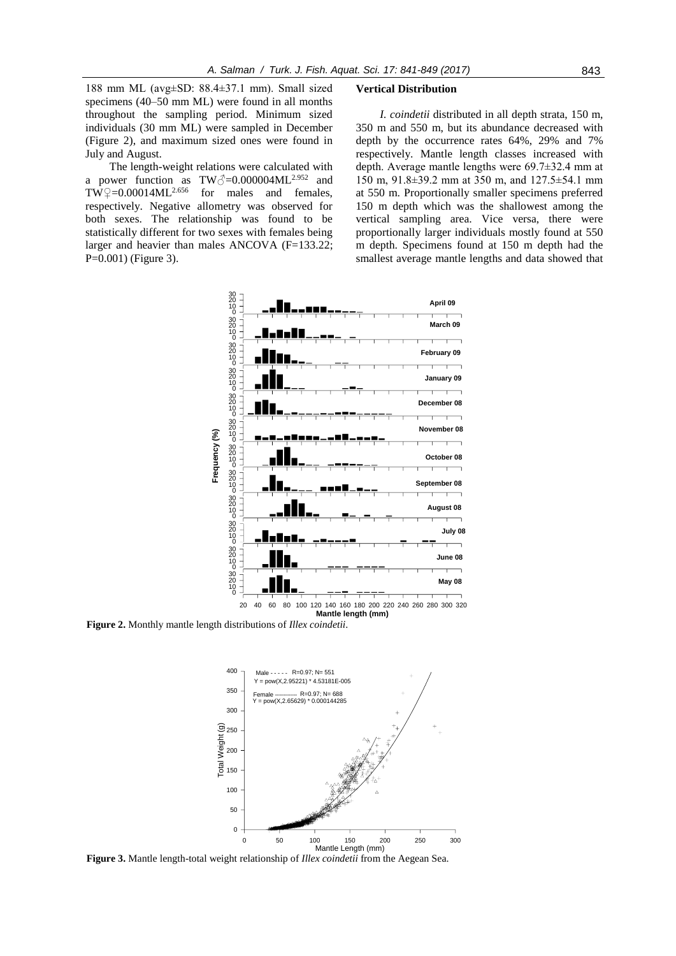188 mm ML (avg±SD: 88.4±37.1 mm). Small sized specimens (40–50 mm ML) were found in all months throughout the sampling period. Minimum sized individuals (30 mm ML) were sampled in December (Figure 2), and maximum sized ones were found in July and August.

The length-weight relations were calculated with a power function as  $TW\text{-}0.000004ML^{2.952}$  and  $TW^{\circ}\approx=0.00014ML^{2.656}$  for males and females, respectively. Negative allometry was observed for both sexes. The relationship was found to be statistically different for two sexes with females being larger and heavier than males ANCOVA (F=133.22; P=0.001) (Figure 3).

#### **Vertical Distribution**

*I. coindetii* distributed in all depth strata, 150 m, 350 m and 550 m, but its abundance decreased with depth by the occurrence rates 64%, 29% and 7% respectively. Mantle length classes increased with depth. Average mantle lengths were 69.7±32.4 mm at 150 m, 91.8±39.2 mm at 350 m, and 127.5±54.1 mm at 550 m. Proportionally smaller specimens preferred 150 m depth which was the shallowest among the vertical sampling area. Vice versa, there were proportionally larger individuals mostly found at 550 m depth. Specimens found at 150 m depth had the smallest average mantle lengths and data showed that



**Figure 2.** Monthly mantle length distributions of *Illex coindetii*.



**Figure 3.** Mantle length-total weight relationship of *Illex coindetii* from the Aegean Sea.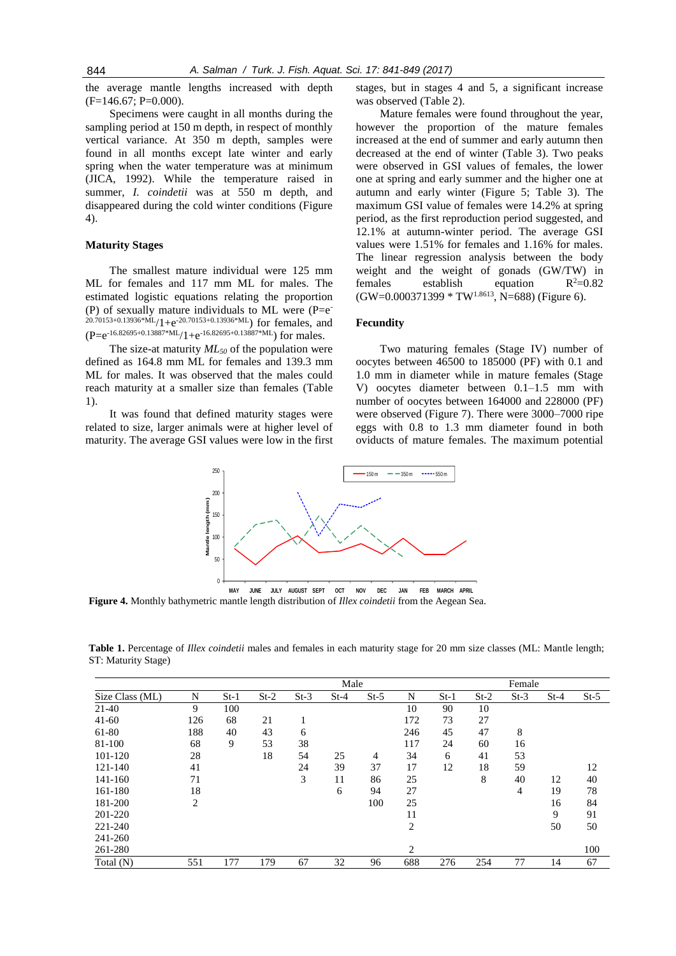the average mantle lengths increased with depth  $(F=146.67; P=0.000)$ .

Specimens were caught in all months during the sampling period at 150 m depth, in respect of monthly vertical variance. At 350 m depth, samples were found in all months except late winter and early spring when the water temperature was at minimum (JICA, 1992). While the temperature raised in summer, *I. coindetii* was at 550 m depth, and disappeared during the cold winter conditions (Figure 4).

#### **Maturity Stages**

The smallest mature individual were 125 mm ML for females and 117 mm ML for males. The estimated logistic equations relating the proportion (P) of sexually mature individuals to ML were  $(P=e^-)$  $20.70153+0.13936*ML/1+e^{-20.70153+0.13936*ML}$  for females, and  $(P=e^{-16.82695+0.13887*ML}/1+e^{-16.82695+0.13887*ML})$  for males.

The size-at maturity *ML<sup>50</sup>* of the population were defined as 164.8 mm ML for females and 139.3 mm ML for males. It was observed that the males could reach maturity at a smaller size than females (Table 1).

It was found that defined maturity stages were related to size, larger animals were at higher level of maturity. The average GSI values were low in the first stages, but in stages 4 and 5, a significant increase was observed (Table 2).

Mature females were found throughout the year, however the proportion of the mature females increased at the end of summer and early autumn then decreased at the end of winter (Table 3). Two peaks were observed in GSI values of females, the lower one at spring and early summer and the higher one at autumn and early winter (Figure 5; Table 3). The maximum GSI value of females were 14.2% at spring period, as the first reproduction period suggested, and 12.1% at autumn-winter period. The average GSI values were 1.51% for females and 1.16% for males. The linear regression analysis between the body weight and the weight of gonads (GW/TW) in females establish equation  $R^2=0.82$ (GW=0.000371399 \* TW1.8613, N=688) (Figure 6).

# **Fecundity**

Two maturing females (Stage IV) number of oocytes between 46500 to 185000 (PF) with 0.1 and 1.0 mm in diameter while in mature females (Stage V) oocytes diameter between 0.1–1.5 mm with number of oocytes between 164000 and 228000 (PF) were observed (Figure 7). There were 3000–7000 ripe eggs with 0.8 to 1.3 mm diameter found in both oviducts of mature females. The maximum potential



**Figure 4.** Monthly bathymetric mantle length distribution of *Illex coindetii* from the Aegean Sea.

**Table 1.** Percentage of *Illex coindetii* males and females in each maturity stage for 20 mm size classes (ML: Mantle length; ST: Maturity Stage)

|                 |     |        | Male   |        |        |        |     | Female |        |                |        |        |
|-----------------|-----|--------|--------|--------|--------|--------|-----|--------|--------|----------------|--------|--------|
| Size Class (ML) | N   | $St-1$ | $St-2$ | $St-3$ | $St-4$ | $St-5$ | N   | $St-1$ | $St-2$ | $St-3$         | $St-4$ | $St-5$ |
| $21-40$         | 9   | 100    |        |        |        |        | 10  | 90     | 10     |                |        |        |
| $41 - 60$       | 126 | 68     | 21     |        |        |        | 172 | 73     | 27     |                |        |        |
| 61-80           | 188 | 40     | 43     | 6      |        |        | 246 | 45     | 47     | 8              |        |        |
| 81-100          | 68  | 9      | 53     | 38     |        |        | 117 | 24     | 60     | 16             |        |        |
| 101-120         | 28  |        | 18     | 54     | 25     | 4      | 34  | 6      | 41     | 53             |        |        |
| 121-140         | 41  |        |        | 24     | 39     | 37     | 17  | 12     | 18     | 59             |        | 12     |
| 141-160         | 71  |        |        | 3      | 11     | 86     | 25  |        | 8      | 40             | 12     | 40     |
| 161-180         | 18  |        |        |        | 6      | 94     | 27  |        |        | $\overline{4}$ | 19     | 78     |
| 181-200         | 2   |        |        |        |        | 100    | 25  |        |        |                | 16     | 84     |
| 201-220         |     |        |        |        |        |        | 11  |        |        |                | 9      | 91     |
| 221-240         |     |        |        |        |        |        | 2   |        |        |                | 50     | 50     |
| 241-260         |     |        |        |        |        |        |     |        |        |                |        |        |
| 261-280         |     |        |        |        |        |        | 2   |        |        |                |        | 100    |
| Total (N)       | 551 | 177    | 179    | 67     | 32     | 96     | 688 | 276    | 254    | 77             | 14     | 67     |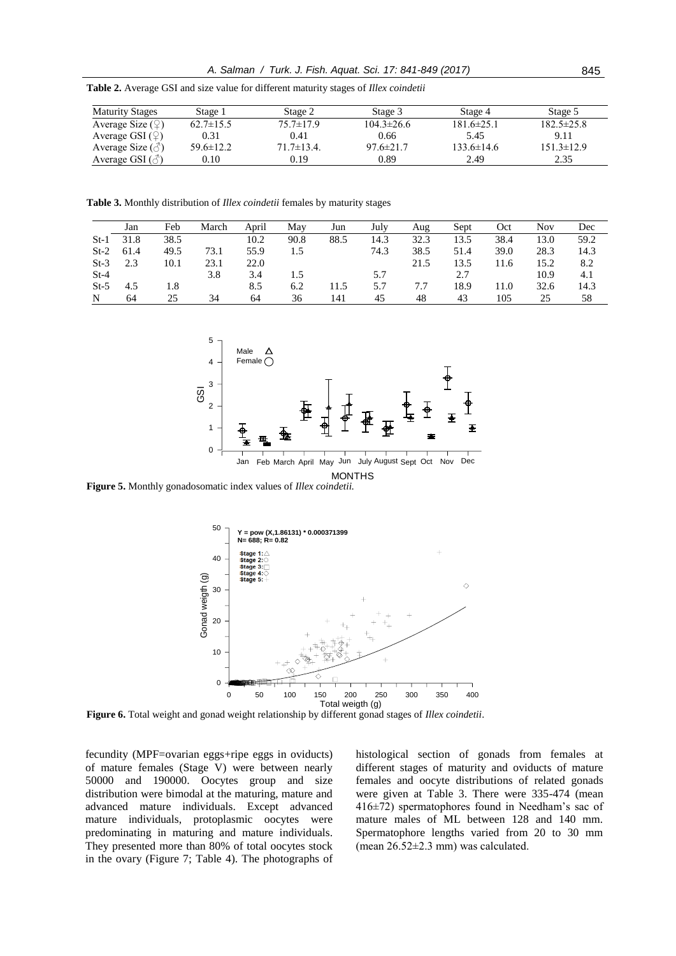**Table 2.** Average GSI and size value for different maturity stages of *Illex coindetii*

| <b>Maturity Stages</b>         | Stage 1         | Stage 2           | Stage 3          | Stage 4        | Stage 5          |
|--------------------------------|-----------------|-------------------|------------------|----------------|------------------|
| Average Size $(\mathcal{Q})$   | $62.7 \pm 15.5$ | 75.7±17.9         | $104.3 \pm 26.6$ | 181.6±25.1     | $182.5 \pm 25.8$ |
| Average GSI $(\mathcal{Q})$    | 0.31            | 0.41              | 0.66             | 5.45           | 9.11             |
| Average Size $(\text{S})$      | $59.6 \pm 12.2$ | $71.7 \pm 13.4$ . | $97.6 \pm 21.7$  | $133.6\pm14.6$ | $151.3 \pm 12.9$ |
| Average GSI $(\vec{\Diamond})$ | 0.10            | 0.19              | 0.89             | 2.49           | 2.35             |

**Table 3.** Monthly distribution of *Illex coindetii* females by maturity stages

|        | Jan  | Feb  | March | April | May  | Jun  | July | Aug  | Sept | Oct  | Nov  | Dec  |
|--------|------|------|-------|-------|------|------|------|------|------|------|------|------|
| $St-1$ | 31.8 | 38.5 |       | 10.2  | 90.8 | 88.5 | 14.3 | 32.3 | 13.5 | 38.4 | 13.0 | 59.2 |
| $St-2$ | 61.4 | 49.5 | 73.1  | 55.9  | 1.5  |      | 74.3 | 38.5 | 51.4 | 39.0 | 28.3 | 14.3 |
| $St-3$ | 2.3  | 10.1 | 23.1  | 22.0  |      |      |      | 21.5 | 13.5 | 11.6 | 15.2 | 8.2  |
| $St-4$ |      |      | 3.8   | 3.4   | 1.5  |      | 5.7  |      | 2.7  |      | 10.9 | 4.1  |
| $St-5$ | 4.5  | 1.8  |       | 8.5   | 6.2  | 11.5 | 5.7  | 7.7  | 18.9 | 11.0 | 32.6 | 14.3 |
| N      | 64   | 25   | 34    | 64    | 36   | 141  | 45   | 48   | 43   | 105  | 25   | 58   |



**Figure 5.** Monthly gonadosomatic index values of *Illex coindetii.*



**Figure 6.** Total weight and gonad weight relationship by different gonad stages of *Illex coindetii*.

fecundity (MPF=ovarian eggs+ripe eggs in oviducts) of mature females (Stage V) were between nearly 50000 and 190000. Oocytes group and size distribution were bimodal at the maturing, mature and advanced mature individuals. Except advanced mature individuals, protoplasmic oocytes were predominating in maturing and mature individuals. They presented more than 80% of total oocytes stock in the ovary (Figure 7; Table 4). The photographs of histological section of gonads from females at different stages of maturity and oviducts of mature females and oocyte distributions of related gonads were given at Table 3. There were 335-474 (mean 416±72) spermatophores found in Needham's sac of mature males of ML between 128 and 140 mm. Spermatophore lengths varied from 20 to 30 mm (mean 26.52±2.3 mm) was calculated.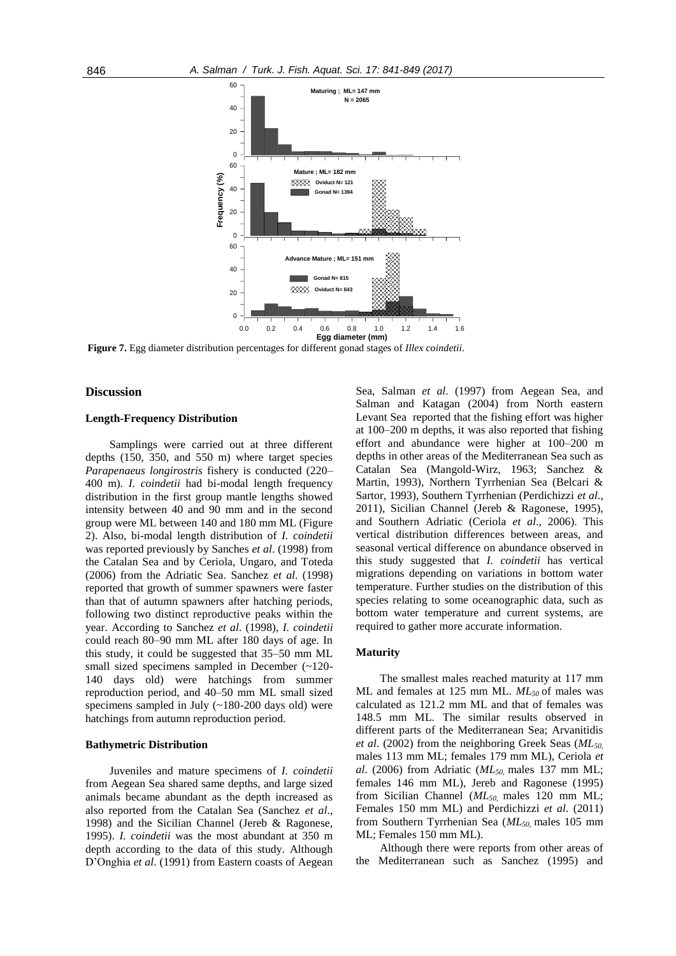

**Figure 7.** Egg diameter distribution percentages for different gonad stages of *Illex coindetii*.

#### **Discussion**

#### **Length-Frequency Distribution**

Samplings were carried out at three different depths (150, 350, and 550 m) where target species *Parapenaeus longirostris* fishery is conducted (220– 400 m). *I. coindetii* had bi-modal length frequency distribution in the first group mantle lengths showed intensity between 40 and 90 mm and in the second group were ML between 140 and 180 mm ML (Figure 2). Also, bi-modal length distribution of *I. coindetii* was reported previously by Sanches *et al*. (1998) from the Catalan Sea and by Ceriola, Ungaro, and Toteda (2006) from the Adriatic Sea. Sanchez *et al*. (1998) reported that growth of summer spawners were faster than that of autumn spawners after hatching periods, following two distinct reproductive peaks within the year. According to Sanchez *et al*. (1998), *I. coindetii* could reach 80–90 mm ML after 180 days of age. In this study, it could be suggested that 35–50 mm ML small sized specimens sampled in December  $($ -120-140 days old) were hatchings from summer reproduction period, and 40–50 mm ML small sized specimens sampled in July (~180-200 days old) were hatchings from autumn reproduction period.

#### **Bathymetric Distribution**

Juveniles and mature specimens of *I. coindetii*  from Aegean Sea shared same depths, and large sized animals became abundant as the depth increased as also reported from the Catalan Sea (Sanchez *et al*., 1998) and the Sicilian Channel (Jereb & Ragonese, 1995). *I. coindetii* was the most abundant at 350 m depth according to the data of this study. Although D'Onghia *et al*. (1991) from Eastern coasts of Aegean

Sea, Salman *et al*. (1997) from Aegean Sea, and Salman and Katagan (2004) from North eastern Levant Sea reported that the fishing effort was higher at 100–200 m depths, it was also reported that fishing effort and abundance were higher at 100–200 m depths in other areas of the Mediterranean Sea such as Catalan Sea (Mangold-Wirz, 1963; Sanchez & Martin, 1993), Northern Tyrrhenian Sea (Belcari & Sartor, 1993), Southern Tyrrhenian (Perdichizzi *et al*., 2011), Sicilian Channel (Jereb & Ragonese, 1995), and Southern Adriatic (Ceriola *et al*.*,* 2006). This vertical distribution differences between areas, and seasonal vertical difference on abundance observed in this study suggested that *I. coindetii* has vertical migrations depending on variations in bottom water temperature. Further studies on the distribution of this species relating to some oceanographic data, such as bottom water temperature and current systems, are required to gather more accurate information.

#### **Maturity**

The smallest males reached maturity at 117 mm ML and females at 125 mm ML. *ML50* of males was calculated as 121.2 mm ML and that of females was 148.5 mm ML. The similar results observed in different parts of the Mediterranean Sea; Arvanitidis *et al*. (2002) from the neighboring Greek Seas (*ML50,*  males 113 mm ML; females 179 mm ML), Ceriola *et al*. (2006) from Adriatic (*ML50,* males 137 mm ML; females 146 mm ML), Jereb and Ragonese (1995) from Sicilian Channel (*ML50,* males 120 mm ML; Females 150 mm ML) and Perdichizzi *et al*. (2011) from Southern Tyrrhenian Sea (*ML50,* males 105 mm ML; Females 150 mm ML).

Although there were reports from other areas of the Mediterranean such as Sanchez (1995) and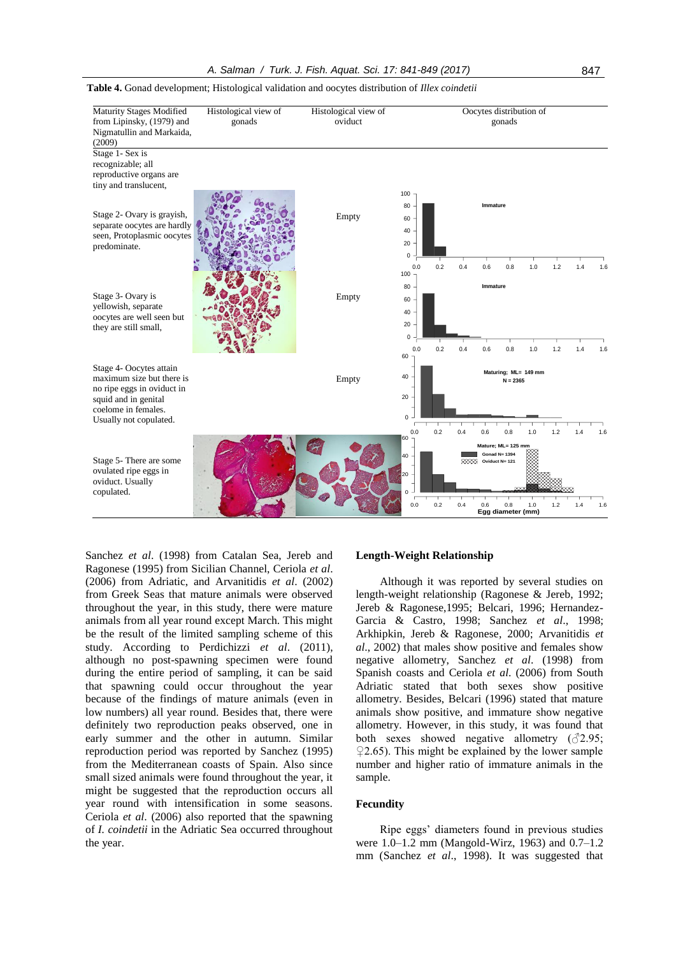

**Table 4.** Gonad development; Histological validation and oocytes distribution of *Illex coindetii*

Sanchez *et al*. (1998) from Catalan Sea, Jereb and Ragonese (1995) from Sicilian Channel, Ceriola *et al*. (2006) from Adriatic, and Arvanitidis *et al*. (2002) from Greek Seas that mature animals were observed throughout the year, in this study, there were mature animals from all year round except March. This might be the result of the limited sampling scheme of this study. According to Perdichizzi *et al*. (2011), although no post-spawning specimen were found during the entire period of sampling, it can be said that spawning could occur throughout the year because of the findings of mature animals (even in low numbers) all year round. Besides that, there were definitely two reproduction peaks observed, one in early summer and the other in autumn. Similar reproduction period was reported by Sanchez (1995) from the Mediterranean coasts of Spain. Also since small sized animals were found throughout the year, it might be suggested that the reproduction occurs all year round with intensification in some seasons. Ceriola *et al*. (2006) also reported that the spawning of *I. coindetii* in the Adriatic Sea occurred throughout the year.

#### **Length-Weight Relationship**

Although it was reported by several studies on length-weight relationship (Ragonese & Jereb, 1992; Jereb & Ragonese,1995; Belcari, 1996; Hernandez-Garcia & Castro, 1998; Sanchez *et al*., 1998; Arkhipkin, Jereb & Ragonese*,* 2000; Arvanitidis *et al*., 2002) that males show positive and females show negative allometry, Sanchez *et al*. (1998) from Spanish coasts and Ceriola *et al*. (2006) from South Adriatic stated that both sexes show positive allometry. Besides, Belcari (1996) stated that mature animals show positive, and immature show negative allometry. However, in this study, it was found that both sexes showed negative allometry  $(\sqrt{2.95})$ ;  $Q2.65$ ). This might be explained by the lower sample number and higher ratio of immature animals in the sample.

#### **Fecundity**

Ripe eggs' diameters found in previous studies were 1.0–1.2 mm (Mangold-Wirz, 1963) and 0.7–1.2 mm (Sanchez *et al*., 1998). It was suggested that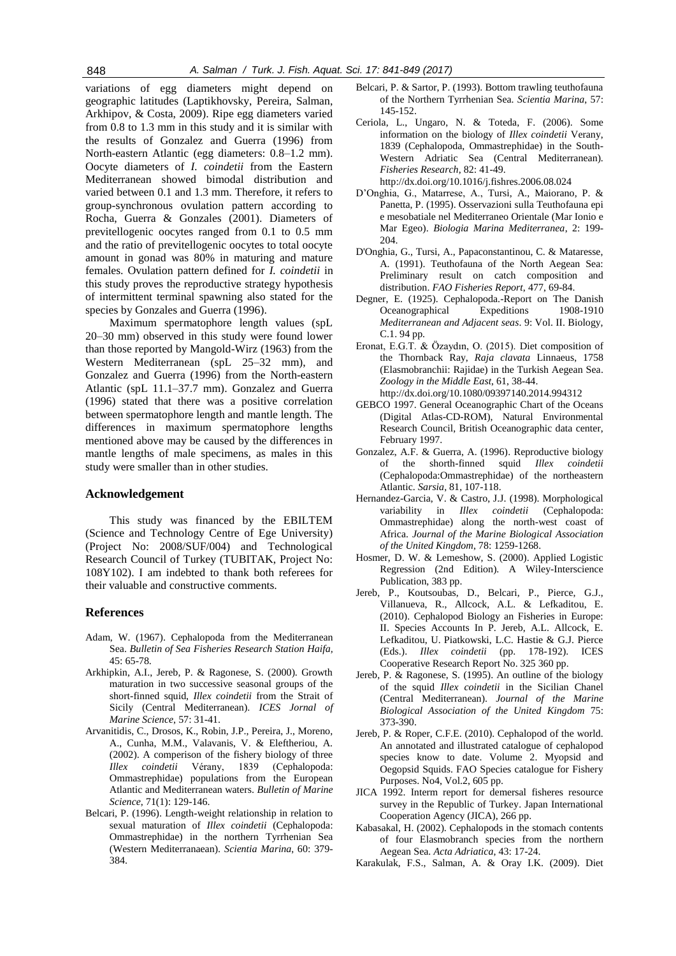variations of egg diameters might depend on geographic latitudes (Laptikhovsky, Pereira, Salman, Arkhipov, & Costa, 2009). Ripe egg diameters varied from 0.8 to 1.3 mm in this study and it is similar with the results of Gonzalez and Guerra (1996) from North-eastern Atlantic (egg diameters: 0.8–1.2 mm). Oocyte diameters of *I. coindetii* from the Eastern Mediterranean showed bimodal distribution and varied between 0.1 and 1.3 mm. Therefore, it refers to group-synchronous ovulation pattern according to Rocha, Guerra & Gonzales (2001). Diameters of previtellogenic oocytes ranged from 0.1 to 0.5 mm and the ratio of previtellogenic oocytes to total oocyte amount in gonad was 80% in maturing and mature females. Ovulation pattern defined for *I. coindetii* in this study proves the reproductive strategy hypothesis of intermittent terminal spawning also stated for the species by Gonzales and Guerra (1996).

Maximum spermatophore length values (spL 20–30 mm) observed in this study were found lower than those reported by Mangold-Wirz (1963) from the Western Mediterranean (spL 25–32 mm), and Gonzalez and Guerra (1996) from the North-eastern Atlantic (spL 11.1–37.7 mm). Gonzalez and Guerra (1996) stated that there was a positive correlation between spermatophore length and mantle length. The differences in maximum spermatophore lengths mentioned above may be caused by the differences in mantle lengths of male specimens, as males in this study were smaller than in other studies.

# **Acknowledgement**

This study was financed by the EBILTEM (Science and Technology Centre of Ege University) (Project No: 2008/SUF/004) and Technological Research Council of Turkey (TUBITAK, Project No: 108Y102). I am indebted to thank both referees for their valuable and constructive comments.

# **References**

- Adam, W. (1967). Cephalopoda from the Mediterranean Sea. *Bulletin of Sea Fisheries Research Station Haifa,* 45: 65-78.
- Arkhipkin, A.I., Jereb, P. & Ragonese, S. (2000). Growth maturation in two successive seasonal groups of the short-finned squid, *Illex coindetii* from the Strait of Sicily (Central Mediterranean). *ICES Jornal of Marine Science*, 57: 31-41.
- Arvanitidis, C., Drosos, K., Robin, J.P., Pereira, J., Moreno, A., Cunha, M.M., Valavanis, V. & Eleftheriou, A. (2002). A comperison of the fishery biology of three *Illex coindetii* Vérany, 1839 (Cephalopoda: Ommastrephidae) populations from the European Atlantic and Mediterranean waters. *Bulletin of Marine Science*, 71(1): 129-146.
- Belcari, P. (1996). Length-weight relationship in relation to sexual maturation of *Illex coindetii* (Cephalopoda: Ommastrephidae) in the northern Tyrrhenian Sea (Western Mediterranaean). *Scientia Marina*, 60: 379- 384.
- Belcari, P. & Sartor, P. (1993). Bottom trawling teuthofauna of the Northern Tyrrhenian Sea. *Scientia Marina*, 57: 145-152.
- Ceriola, L., Ungaro, N. & Toteda, F. (2006). Some information on the biology of *Illex coindetii* Verany, 1839 (Cephalopoda, Ommastrephidae) in the South-Western Adriatic Sea (Central Mediterranean). *Fisheries Research*, 82: 41-49. http://dx.doi.org/10.1016/j.fishres.2006.08.024
- D'Onghia, G., Matarrese, A., Tursi, A., Maiorano, P. & Panetta, P. (1995). Osservazioni sulla Teuthofauna epi e mesobatiale nel Mediterraneo Orientale (Mar Ionio e Mar Egeo). *Biologia Marina Mediterranea*, 2: 199- 204.
- D'Onghia, G., Tursi, A., Papaconstantinou, C. & Mataresse, A. (1991). Teuthofauna of the North Aegean Sea: Preliminary result on catch composition and distribution. *FAO Fisheries Report*, 477, 69-84.
- Degner, E. (1925). Cephalopoda.-Report on The Danish Oceanographical Expeditions 1908-1910 *Mediterranean and Adjacent seas*. 9: Vol. II. Biology, C.1. 94 pp.
- Eronat, E.G.T. & Özaydın, O. (2015). [Diet composition of](http://www.tandfonline.com/doi/abs/10.1080/09397140.2014.994312)  [the Thornback Ray,](http://www.tandfonline.com/doi/abs/10.1080/09397140.2014.994312) *Raja clavata* Linnaeus, 1758 [\(Elasmobranchii: Rajidae\) in the Turkish Aegean Sea.](http://www.tandfonline.com/doi/abs/10.1080/09397140.2014.994312) *Zoology in the Middle East*, 61, 38-44. http://dx.doi.org/10.1080/09397140.2014.994312
- GEBCO 1997. General Oceanographic Chart of the Oceans
- (Digital Atlas-CD-ROM), Natural Environmental Research Council, British Oceanographic data center, February 1997.
- Gonzalez, A.F. & Guerra, A. (1996). Reproductive biology of the shorth-finned squid *Illex coindetii* (Cephalopoda:Ommastrephidae) of the northeastern Atlantic. *Sarsia*, 81, 107-118.
- Hernandez-Garcia, V. & Castro, J.J. (1998). Morphological variability in *Illex coindetii* (Cephalopoda: Ommastrephidae) along the north-west coast of Africa. *Journal of the Marine Biological Association of the United Kingdom*, 78: 1259-1268.
- Hosmer, D. W. & Lemeshow, S. (2000). Applied Logistic Regression (2nd Edition). A Wiley-Interscience Publication, 383 pp.
- Jereb, P., Koutsoubas, D., Belcari, P., Pierce, G.J., Villanueva, R., Allcock, A.L. & Lefkaditou, E. (2010). Cephalopod Biology an Fisheries in Europe: II. Species Accounts In P. Jereb, A.L. Allcock, E. Lefkaditou, U. Piatkowski, L.C. Hastie & G.J. Pierce (Eds.). *Illex coindetii* (pp. 178-192). ICES Cooperative Research Report No. 325 360 pp.
- Jereb, P. & Ragonese, S. (1995). An outline of the biology of the squid *Illex coindetii* in the Sicilian Chanel (Central Mediterranean). *Journal of the Marine Biological Association of the United Kingdom* 75: 373-390.
- Jereb, P. & Roper, C.F.E. (2010). Cephalopod of the world. An annotated and illustrated catalogue of cephalopod species know to date. Volume 2. Myopsid and Oegopsid Squids. FAO Species catalogue for Fishery Purposes. No4, Vol.2, 605 pp.
- JICA 1992. Interm report for demersal fisheres resource survey in the Republic of Turkey. Japan International Cooperation Agency (JICA), 266 pp.
- Kabasakal, H. (2002). Cephalopods in the stomach contents of four Elasmobranch species from the northern Aegean Sea. *Acta Adriatica*, 43: 17-24.
- Karakulak, F.S., Salman, A. & Oray I.K. (2009). Diet